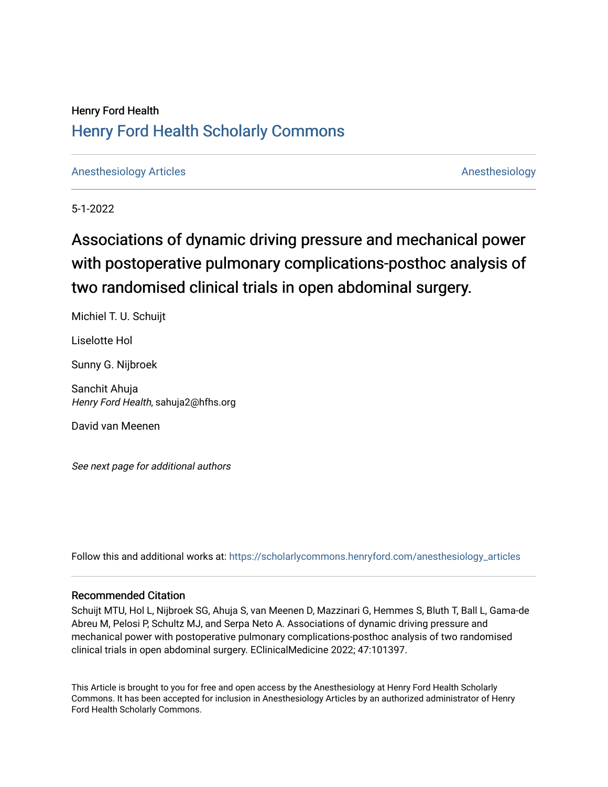## Henry Ford Health [Henry Ford Health Scholarly Commons](https://scholarlycommons.henryford.com/)

[Anesthesiology Articles](https://scholarlycommons.henryford.com/anesthesiology_articles) [Anesthesiology](https://scholarlycommons.henryford.com/anesthesiology) Articles Anesthesiology

5-1-2022

# Associations of dynamic driving pressure and mechanical power with postoperative pulmonary complications-posthoc analysis of two randomised clinical trials in open abdominal surgery.

Michiel T. U. Schuijt

Liselotte Hol

Sunny G. Nijbroek

Sanchit Ahuja Henry Ford Health, sahuja2@hfhs.org

David van Meenen

See next page for additional authors

Follow this and additional works at: [https://scholarlycommons.henryford.com/anesthesiology\\_articles](https://scholarlycommons.henryford.com/anesthesiology_articles?utm_source=scholarlycommons.henryford.com%2Fanesthesiology_articles%2F126&utm_medium=PDF&utm_campaign=PDFCoverPages)

### Recommended Citation

Schuijt MTU, Hol L, Nijbroek SG, Ahuja S, van Meenen D, Mazzinari G, Hemmes S, Bluth T, Ball L, Gama-de Abreu M, Pelosi P, Schultz MJ, and Serpa Neto A. Associations of dynamic driving pressure and mechanical power with postoperative pulmonary complications-posthoc analysis of two randomised clinical trials in open abdominal surgery. EClinicalMedicine 2022; 47:101397.

This Article is brought to you for free and open access by the Anesthesiology at Henry Ford Health Scholarly Commons. It has been accepted for inclusion in Anesthesiology Articles by an authorized administrator of Henry Ford Health Scholarly Commons.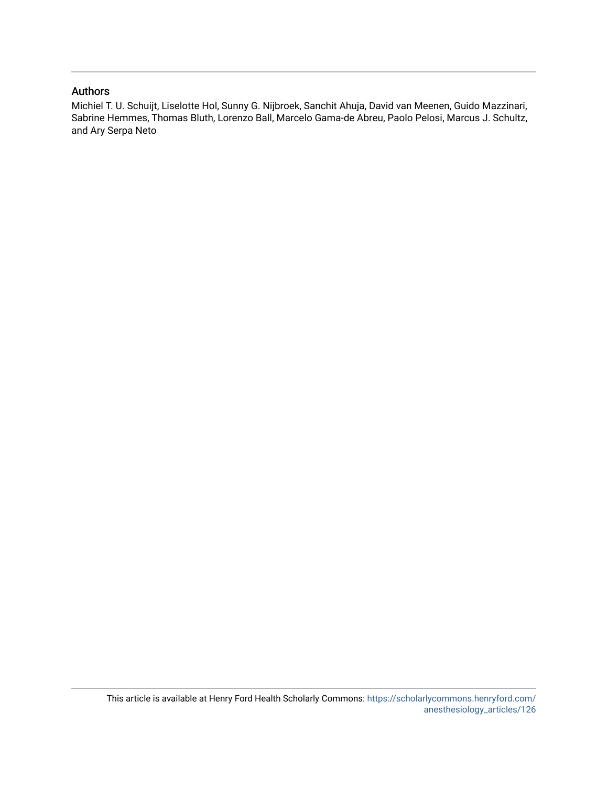### Authors

Michiel T. U. Schuijt, Liselotte Hol, Sunny G. Nijbroek, Sanchit Ahuja, David van Meenen, Guido Mazzinari, Sabrine Hemmes, Thomas Bluth, Lorenzo Ball, Marcelo Gama-de Abreu, Paolo Pelosi, Marcus J. Schultz, and Ary Serpa Neto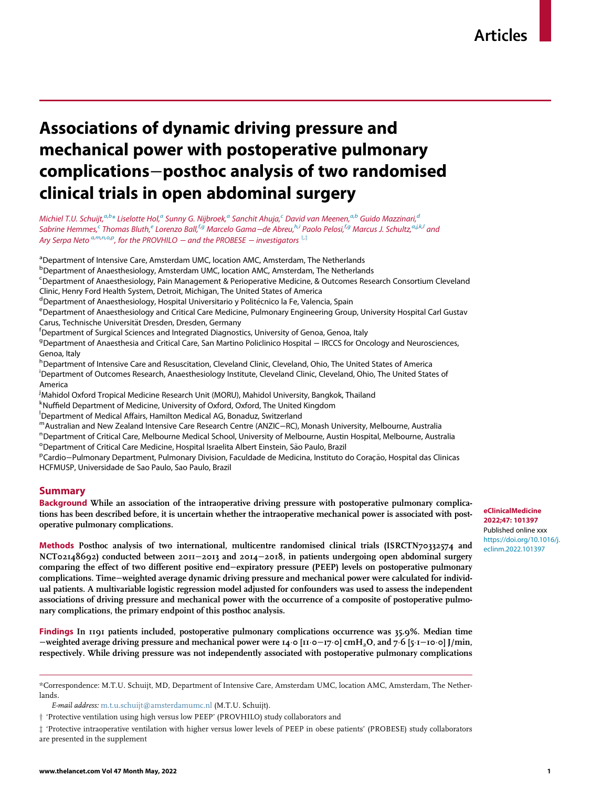## Associations of dynamic driving pressure and mechanical power with postoperative pulmonary complications−posthoc analysis of two randomised clinical trials in open abdominal surgery

Michiel T.U. Schuijt,<sup>[a](#page-2-0)[,b](#page-2-1)</sup>[\\*](#page-2-2) Liselotte Hol,<sup>a</sup> Sunny G. Nijbroek,<sup>a</sup> San[c](#page-2-3)hit Ahuja,<sup>c</sup> David van Meenen,<sup>a,[b](#page-2-1)</sup> Gui[d](#page-2-4)o Mazzinari,<sup>a</sup> Sabrine Hemmes,<sup>[c](#page-2-3)</sup> Thomas Bluth,<sup>[e](#page-2-5)</sup> Lorenzo Ball,<sup>[f,](#page-2-6)[g](#page-2-7)</sup> Marcelo Gama−de Abreu,<sup>[h](#page-2-8)[,i](#page-2-9)</sup> Paolo Pelosi,<sup>[f](#page-2-6)[,g](#page-2-7)</sup> M[a](#page-2-0)rcus J. Schultz,<sup>a,[j](#page-2-10)[,k](#page-2-11),[l](#page-2-12)</sup> and Ary Serp[a](#page-2-0) Neto  $^{a,m,n,o,p}$  $^{a,m,n,o,p}$  $^{a,m,n,o,p}$  $^{a,m,n,o,p}$  $^{a,m,n,o,p}$  $^{a,m,n,o,p}$  $^{a,m,n,o,p}$ , for the PROVHILO  $-$  and the PROBESE  $-$  investigators  $^{\dagger,\ddagger}$ 

<span id="page-2-0"></span><sup>a</sup>Department of Intensive Care, Amsterdam UMC, location AMC, Amsterdam, The Netherlands

<span id="page-2-1"></span><sup>b</sup>Department of Anaesthesiology, Amsterdam UMC, location AMC, Amsterdam, The Netherlands

<span id="page-2-3"></span><sup>c</sup>Department of Anaesthesiology, Pain Management & Perioperative Medicine, & Outcomes Research Consortium Cleveland Clinic, Henry Ford Health System, Detroit, Michigan, The United States of America

<span id="page-2-4"></span>

<span id="page-2-5"></span>d<br>Pepartment of Anaesthesiology, Hospital Universitario y Politécnico la Fe, Valencia, Spain<br>PDepartment of Anaesthesiology and Critical Care Medicine, Pulmonary Engineering Grou <sup>e</sup> Department of Anaesthesiology and Critical Care Medicine, Pulmonary Engineering Group, University Hospital Carl Gustav Carus, Technische Universität Dresden, Dresden, Germany

<span id="page-2-6"></span><sup>f</sup> Department of Surgical Sciences and Integrated Diagnostics, University of Genoa, Genoa, Italy

<span id="page-2-7"></span><sup>g</sup>Department of Anaesthesia and Critical Care, San Martino Policlinico Hospital − IRCCS for Oncology and Neurosciences, Genoa, Italy

<span id="page-2-9"></span><span id="page-2-8"></span>h Department of Intensive Care and Resuscitation, Cleveland Clinic, Cleveland, Ohio, The United States of America i Department of Outcomes Research, Anaesthesiology Institute, Cleveland Clinic, Cleveland, Ohio, The United States of America

<span id="page-2-10"></span>j Mahidol Oxford Tropical Medicine Research Unit (MORU), Mahidol University, Bangkok, Thailand

<span id="page-2-11"></span><sup>k</sup>Nuffield Department of Medicine, University of Oxford, Oxford, The United Kingdom<br><sup>I</sup>Department of Medical Affairs, Hamilton Medical AG, Bonaduz, Switzerland

<span id="page-2-12"></span>Department of Medical Affairs, Hamilton Medical AG, Bonaduz, Switzerland

<span id="page-2-13"></span>mAustralian and New Zealand Intensive Care Research Centre (ANZIC−RC), Monash University, Melbourne, Australia <sup>n</sup>

<span id="page-2-14"></span><sup>n</sup> Department of Critical Care, Melbourne Medical School, University of Melbourne, Austin Hospital, Melbourne, Australia

<span id="page-2-15"></span><sup>o</sup> Department of Critical Care Medicine, Hospital Israelita Albert Einstein, São Paulo, Brazil<br>PCardio - Pulmonary Department, Pulmonary Division, Eaculdade de Medicina, Instituto

<span id="page-2-16"></span>PCardio−Pulmonary Department, Pulmonary Division, Faculdade de Medicina, Instituto do Coração, Hospital das Clinicas HCFMUSP, Universidade de Sao Paulo, Sao Paulo, Brazil

#### Summary

Background While an association of the intraoperative driving pressure with postoperative pulmonary complications has been described before, it is uncertain whether the intraoperative mechanical power is associated with postoperative pulmonary complications.

Methods Posthoc analysis of two international, multicentre randomised clinical trials (ISRCTN70332574 and NCT02148692) conducted between 2011−2013 and 2014−2018, in patients undergoing open abdominal surgery comparing the effect of two different positive end−expiratory pressure (PEEP) levels on postoperative pulmonary complications. Time−weighted average dynamic driving pressure and mechanical power were calculated for individual patients. A multivariable logistic regression model adjusted for confounders was used to assess the independent associations of driving pressure and mechanical power with the occurrence of a composite of postoperative pulmonary complications, the primary endpoint of this posthoc analysis.

Findings In 1191 patients included, postoperative pulmonary complications occurrence was 35.9%. Median time −weighted average driving pressure and mechanical power were 14¢0 [11¢0−17¢0] cmH2O, and 7¢6 [5¢1−10¢0] J/min, respectively. While driving pressure was not independently associated with postoperative pulmonary complications

E-mail address: [m.t.u.schuijt@amsterdamumc.nl](mailto:m.t.u.schuijt@amsterdamumc.nl) (M.T.U. Schuijt).

<span id="page-2-17"></span>y 'Protective ventilation using high versus low PEEP' (PROVHILO) study collaborators and

<span id="page-2-18"></span>z 'Protective intraoperative ventilation with higher versus lower levels of PEEP in obese patients' (PROBESE) study collaborators are presented in the supplement

<span id="page-2-2"></span><sup>\*</sup>Correspondence: M.T.U. Schuijt, MD, Department of Intensive Care, Amsterdam UMC, location AMC, Amsterdam, The Netherlands.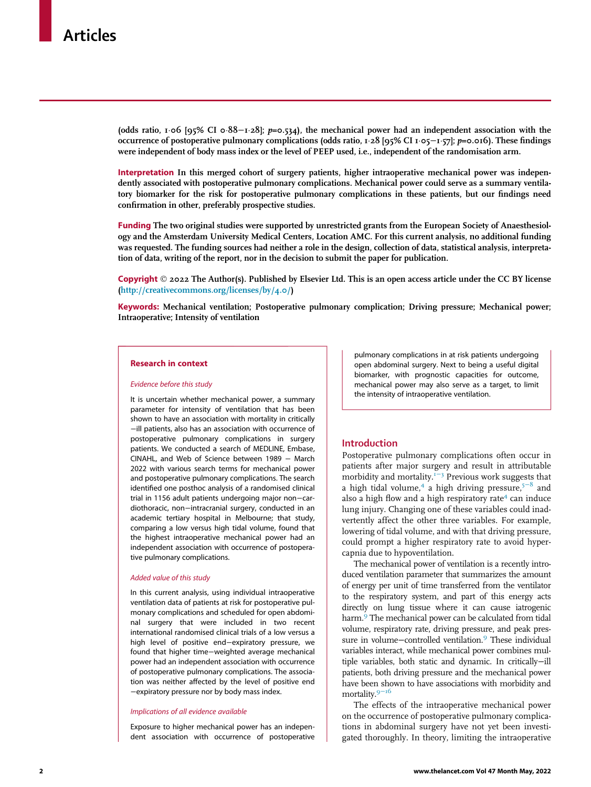(odds ratio,  $1·$ 06 [95% CI 0 $·$ 88 $-1·$ 28]; p=0.534), the mechanical power had an independent association with the occurrence of postoperative pulmonary complications (odds ratio,  $1.28$  [95% CI  $1.05-1.57$ ];  $p=0.016$ ). These findings were independent of body mass index or the level of PEEP used, i.e., independent of the randomisation arm.

Interpretation In this merged cohort of surgery patients, higher intraoperative mechanical power was independently associated with postoperative pulmonary complications. Mechanical power could serve as a summary ventilatory biomarker for the risk for postoperative pulmonary complications in these patients, but our findings need confirmation in other, preferably prospective studies.

Funding The two original studies were supported by unrestricted grants from the European Society of Anaesthesiology and the Amsterdam University Medical Centers, Location AMC. For this current analysis, no additional funding was requested. The funding sources had neither a role in the design, collection of data, statistical analysis, interpretation of data, writing of the report, nor in the decision to submit the paper for publication.

Copyright © 2022 The Author(s). Published by Elsevier Ltd. This is an open access article under the CC BY license (<http://creativecommons.org/licenses/by/4.0/>)

Keywords: Mechanical ventilation; Postoperative pulmonary complication; Driving pressure; Mechanical power; Intraoperative; Intensity of ventilation

#### Research in context

#### Evidence before this study

It is uncertain whether mechanical power, a summary parameter for intensity of ventilation that has been shown to have an association with mortality in critically −ill patients, also has an association with occurrence of postoperative pulmonary complications in surgery patients. We conducted a search of MEDLINE, Embase, CINAHL, and Web of Science between 1989 − March 2022 with various search terms for mechanical power and postoperative pulmonary complications. The search identified one posthoc analysis of a randomised clinical trial in 1156 adult patients undergoing major non−cardiothoracic, non−intracranial surgery, conducted in an academic tertiary hospital in Melbourne; that study, comparing a low versus high tidal volume, found that the highest intraoperative mechanical power had an independent association with occurrence of postoperative pulmonary complications.

#### Added value of this study

In this current analysis, using individual intraoperative ventilation data of patients at risk for postoperative pulmonary complications and scheduled for open abdominal surgery that were included in two recent international randomised clinical trials of a low versus a high level of positive end−expiratory pressure, we found that higher time−weighted average mechanical power had an independent association with occurrence of postoperative pulmonary complications. The association was neither affected by the level of positive end −expiratory pressure nor by body mass index.

#### Implications of all evidence available

Exposure to higher mechanical power has an independent association with occurrence of postoperative pulmonary complications in at risk patients undergoing open abdominal surgery. Next to being a useful digital biomarker, with prognostic capacities for outcome, mechanical power may also serve as a target, to limit the intensity of intraoperative ventilation.

#### Introduction

Postoperative pulmonary complications often occur in patients after major surgery and result in attributable morbidity and mortality.<sup>1[−](#page-11-0)3</sup> Previous work suggests that a high tidal volume,<sup>[4](#page-11-1)</sup> a high driving pressure,<sup>5[−](#page-11-2)8</sup> and also a high flow and a high respiratory rate $4$  can induce lung injury. Changing one of these variables could inadvertently affect the other three variables. For example, lowering of tidal volume, and with that driving pressure, could prompt a higher respiratory rate to avoid hypercapnia due to hypoventilation.

The mechanical power of ventilation is a recently introduced ventilation parameter that summarizes the amount of energy per unit of time transferred from the ventilator to the respiratory system, and part of this energy acts directly on lung tissue where it can cause iatrogenic harm.<sup>[9](#page-11-3)</sup> The mechanical power can be calculated from tidal volume, respiratory rate, driving pressure, and peak pressure in volume–controlled ventilation.<sup>9</sup> These individual variables interact, while mechanical power combines multiple variables, both static and dynamic. In critically−ill patients, both driving pressure and the mechanical power have been shown to have associations with morbidity and mortality.<sup>9–[16](#page-11-3)</sup>

The effects of the intraoperative mechanical power on the occurrence of postoperative pulmonary complications in abdominal surgery have not yet been investigated thoroughly. In theory, limiting the intraoperative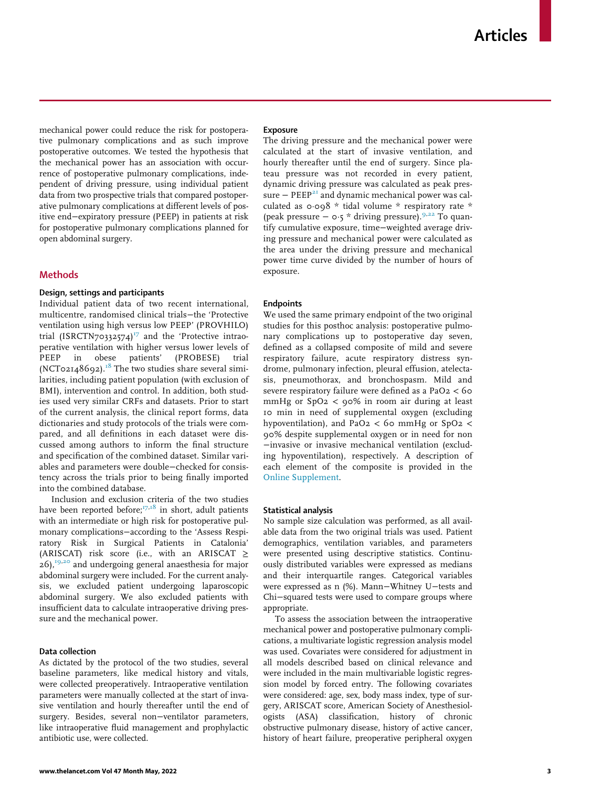mechanical power could reduce the risk for postoperative pulmonary complications and as such improve postoperative outcomes. We tested the hypothesis that the mechanical power has an association with occurrence of postoperative pulmonary complications, independent of driving pressure, using individual patient data from two prospective trials that compared postoperative pulmonary complications at different levels of positive end−expiratory pressure (PEEP) in patients at risk for postoperative pulmonary complications planned for open abdominal surgery.

#### Methods

#### Design, settings and participants

Individual patient data of two recent international, multicentre, randomised clinical trials−the 'Protective ventilation using high versus low PEEP' (PROVHILO) trial (ISRCTN70332574)<sup>[17](#page-11-4)</sup> and the 'Protective intraoperative ventilation with higher versus lower levels of PEEP in obese patients' (PROBESE) trial (NCT02148692).<sup>[18](#page-11-5)</sup> The two studies share several similarities, including patient population (with exclusion of BMI), intervention and control. In addition, both studies used very similar CRFs and datasets. Prior to start of the current analysis, the clinical report forms, data dictionaries and study protocols of the trials were compared, and all definitions in each dataset were discussed among authors to inform the final structure and specification of the combined dataset. Similar variables and parameters were double−checked for consistency across the trials prior to being finally imported into the combined database.

Inclusion and exclusion criteria of the two studies have been reported before; $T^{7,18}$  $T^{7,18}$  $T^{7,18}$  in short, adult patients with an intermediate or high risk for postoperative pulmonary complications−according to the 'Assess Respiratory Risk in Surgical Patients in Catalonia' (ARISCAT) risk score (i.e., with an ARISCAT  $\ge$  $26$ ,<sup>[19](#page-11-6)[,20](#page-11-7)</sup> and undergoing general anaesthesia for major abdominal surgery were included. For the current analysis, we excluded patient undergoing laparoscopic abdominal surgery. We also excluded patients with insufficient data to calculate intraoperative driving pressure and the mechanical power.

#### Data collection

As dictated by the protocol of the two studies, several baseline parameters, like medical history and vitals, were collected preoperatively. Intraoperative ventilation parameters were manually collected at the start of invasive ventilation and hourly thereafter until the end of surgery. Besides, several non−ventilator parameters, like intraoperative fluid management and prophylactic antibiotic use, were collected.

#### Exposure

The driving pressure and the mechanical power were calculated at the start of invasive ventilation, and hourly thereafter until the end of surgery. Since plateau pressure was not recorded in every patient, dynamic driving pressure was calculated as peak pres-sure − PEEP<sup>[21](#page-11-8)</sup> and dynamic mechanical power was calculated as  $0.098 *$  tidal volume \* respiratory rate \* (peak pressure <sup>−</sup> <sup>0</sup>¢5 \* driving pressure).[9,](#page-11-3)[22](#page-11-9) To quantify cumulative exposure, time−weighted average driving pressure and mechanical power were calculated as the area under the driving pressure and mechanical power time curve divided by the number of hours of exposure.

#### Endpoints

We used the same primary endpoint of the two original studies for this posthoc analysis: postoperative pulmonary complications up to postoperative day seven, defined as a collapsed composite of mild and severe respiratory failure, acute respiratory distress syndrome, pulmonary infection, pleural effusion, atelectasis, pneumothorax, and bronchospasm. Mild and severe respiratory failure were defined as a PaO2 < 60 mmHg or  $SpO2 < 90\%$  in room air during at least 10 min in need of supplemental oxygen (excluding hypoventilation), and PaO<sub>2</sub> < 60 mmHg or SpO<sub>2</sub> < 90% despite supplemental oxygen or in need for non −invasive or invasive mechanical ventilation (excluding hypoventilation), respectively. A description of each element of the composite is provided in the [Online Supplement.](#page-11-10)

#### Statistical analysis

No sample size calculation was performed, as all available data from the two original trials was used. Patient demographics, ventilation variables, and parameters were presented using descriptive statistics. Continuously distributed variables were expressed as medians and their interquartile ranges. Categorical variables were expressed as n (%). Mann−Whitney U−tests and Chi−squared tests were used to compare groups where appropriate.

To assess the association between the intraoperative mechanical power and postoperative pulmonary complications, a multivariate logistic regression analysis model was used. Covariates were considered for adjustment in all models described based on clinical relevance and were included in the main multivariable logistic regression model by forced entry. The following covariates were considered: age, sex, body mass index, type of surgery, ARISCAT score, American Society of Anesthesiologists (ASA) classification, history of chronic obstructive pulmonary disease, history of active cancer, history of heart failure, preoperative peripheral oxygen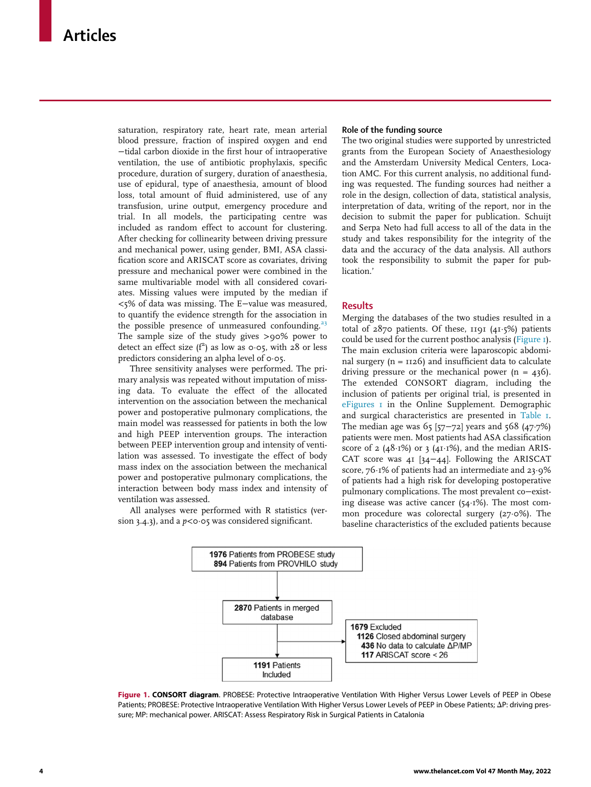saturation, respiratory rate, heart rate, mean arterial blood pressure, fraction of inspired oxygen and end −tidal carbon dioxide in the first hour of intraoperative ventilation, the use of antibiotic prophylaxis, specific procedure, duration of surgery, duration of anaesthesia, use of epidural, type of anaesthesia, amount of blood loss, total amount of fluid administered, use of any transfusion, urine output, emergency procedure and trial. In all models, the participating centre was included as random effect to account for clustering. After checking for collinearity between driving pressure and mechanical power, using gender, BMI, ASA classification score and ARISCAT score as covariates, driving pressure and mechanical power were combined in the same multivariable model with all considered covariates. Missing values were imputed by the median if <5% of data was missing. The E−value was measured, to quantify the evidence strength for the association in the possible presence of unmeasured confounding. $23$ The sample size of the study gives >90% power to detect an effect size  $(f^2)$  as low as 0.05, with 28 or less predictors considering an alpha level of  $\circ \circ$ 5.

Three sensitivity analyses were performed. The primary analysis was repeated without imputation of missing data. To evaluate the effect of the allocated intervention on the association between the mechanical power and postoperative pulmonary complications, the main model was reassessed for patients in both the low and high PEEP intervention groups. The interaction between PEEP intervention group and intensity of ventilation was assessed. To investigate the effect of body mass index on the association between the mechanical power and postoperative pulmonary complications, the interaction between body mass index and intensity of ventilation was assessed.

<span id="page-5-0"></span>All analyses were performed with R statistics (version 3.4.3), and a  $p < 0.65$  was considered significant.

#### Role of the funding source

The two original studies were supported by unrestricted grants from the European Society of Anaesthesiology and the Amsterdam University Medical Centers, Location AMC. For this current analysis, no additional funding was requested. The funding sources had neither a role in the design, collection of data, statistical analysis, interpretation of data, writing of the report, nor in the decision to submit the paper for publication. Schuijt and Serpa Neto had full access to all of the data in the study and takes responsibility for the integrity of the data and the accuracy of the data analysis. All authors took the responsibility to submit the paper for publication.'

#### **Results**

Merging the databases of the two studies resulted in a total of  $2870$  patients. Of these,  $1191$  ( $41.5\%$ ) patients could be used for the current posthoc analysis [\(Figure 1\)](#page-5-0). The main exclusion criteria were laparoscopic abdominal surgery ( $n = 1126$ ) and insufficient data to calculate driving pressure or the mechanical power  $(n = 436)$ . The extended CONSORT diagram, including the inclusion of patients per original trial, is presented in [eFigures 1](#page-11-10) in the Online Supplement. Demographic and surgical characteristics are presented in [Table 1](#page-6-0). The median age was 65 [57–72] years and 568 (47 $·7\%$ ) patients were men. Most patients had ASA classification score of 2 ( $48·1\%$ ) or 3 ( $41·1\%$ ), and the median ARIS-CAT score was 41 [34−44]. Following the ARISCAT score,  $76·1\%$  of patients had an intermediate and 23 $·9\%$ of patients had a high risk for developing postoperative pulmonary complications. The most prevalent co−existing disease was active cancer (54 $\cdot$ 1%). The most common procedure was colorectal surgery  $(27 \cdot 0\%)$ . The baseline characteristics of the excluded patients because



Figure 1. CONSORT diagram. PROBESE: Protective Intraoperative Ventilation With Higher Versus Lower Levels of PEEP in Obese Patients; PROBESE: Protective Intraoperative Ventilation With Higher Versus Lower Levels of PEEP in Obese Patients;  $\Delta P$ : driving pressure; MP: mechanical power. ARISCAT: Assess Respiratory Risk in Surgical Patients in Catalonia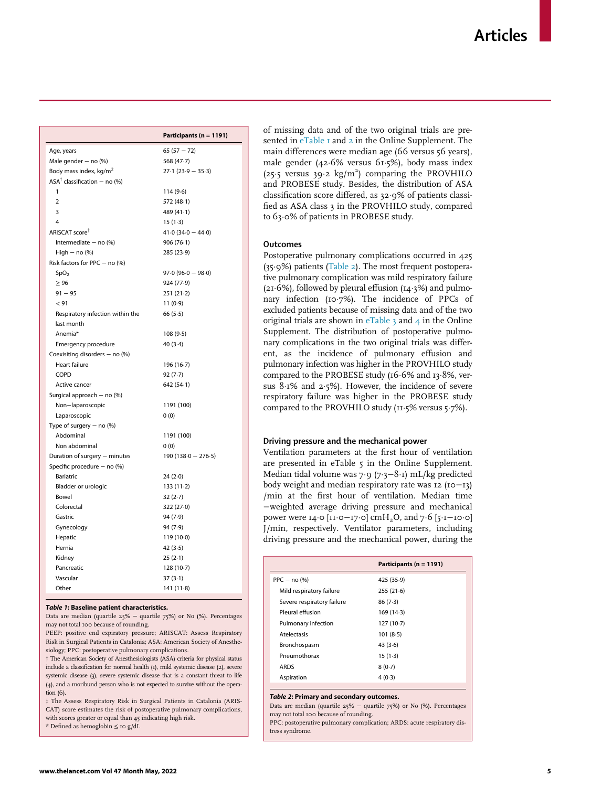<span id="page-6-0"></span>

|                                         | Participants (n = 1191) |
|-----------------------------------------|-------------------------|
| Age, years                              | $65(57 - 72)$           |
| Male gender $-$ no $%$                  | 568 (47.7)              |
| Body mass index, kg/m <sup>2</sup>      | $27.1(23.9 - 35.3)$     |
| $ASA^{\dagger}$ classification – no (%) |                         |
| 1                                       | 114(9.6)                |
| $\overline{2}$                          | 572 (48-1)              |
| 3                                       | 489 (41-1)              |
| 4                                       | $15(1-3)$               |
| ARISCAT score <sup>‡</sup>              | $41.0(34.0 - 44.0)$     |
| Intermediate $-$ no $%$                 | 906(76.1)               |
| High $-$ no $(\%)$                      | 285 (23.9)              |
| Risk factors for PPC - no (%)           |                         |
| SpO <sub>2</sub>                        | $97.0(96.0 - 98.0)$     |
| $\geq 96$                               | 924 (77.9)              |
| $91 - 95$                               | $251(21-2)$             |
| < 91                                    | 11(0.9)                 |
| Respiratory infection within the        | 66(5.5)                 |
| last month                              |                         |
| Anemia*                                 | 108(9.5)                |
| Emergency procedure                     | 40(3.4)                 |
| Coexisiting disorders - no (%)          |                         |
| <b>Heart failure</b>                    | 196 (16-7)              |
| COPD                                    | 92(7.7)                 |
| Active cancer                           | 642 (54.1)              |
| Surgical approach - no (%)              |                         |
| Non-laparoscopic                        | 1191 (100)              |
| Laparoscopic                            | 0(0)                    |
| Type of surgery $-$ no $%$              |                         |
| Abdominal                               | 1191 (100)              |
| Non abdominal                           | 0(0)                    |
| Duration of surgery - minutes           | $190(138.0 - 276.5)$    |
| Specific procedure - no (%)             |                         |
| <b>Bariatric</b>                        | 24(2.0)                 |
| Bladder or urologic                     | 133(11.2)               |
| Bowel                                   | 32(2.7)                 |
| Colorectal                              | 322 (27.0)              |
| Gastric                                 | 94 (7.9)                |
| Gynecology                              | 94 (7.9)                |
| Hepatic                                 | 119 (10.0)              |
| Hernia                                  | 42(3.5)                 |
| Kidney                                  | 25(2.1)                 |
| Pancreatic                              | 128(10.7)               |
| Vascular                                | 37(3.1)                 |
| Other                                   | 141(11.8)               |

#### <span id="page-6-1"></span>Table 1: Baseline patient characteristics.

Data are median (quartile 25% − quartile 75%) or No (%). Percentages may not total 100 because of rounding.

PEEP: positive end expiratory pressure; ARISCAT: Assess Respiratory Risk in Surgical Patients in Catalonia; ASA: American Society of Anesthesiology; PPC: postoperative pulmonary complications.

<sup>†</sup> The American Society of Anesthesiologists (ASA) criteria for physical status include a classification for normal health (1), mild systemic disease (2), severe systemic disease (3), severe systemic disease that is a constant threat to life (4), and a moribund person who is not expected to survive without the operation (6).

 $\ddagger$  The Assess Respiratory Risk in Surgical Patients in Catalonia (ARIS-CAT) score estimates the risk of postoperative pulmonary complications, with scores greater or equal than 45 indicating high risk. \* Defined as hemoglobin ≤ 10 g/dL

of missing data and of the two original trials are presented in  $e$ Table 1 and [2](#page-11-10) in the Online Supplement. The main differences were median age (66 versus 56 years), male gender (42 $\cdot$ 6% versus 61 $\cdot$ 5%), body mass index (25.5 versus 39.2 kg/m<sup>2</sup>) comparing the PROVHILO and PROBESE study. Besides, the distribution of ASA classification score differed, as 32¢9% of patients classified as ASA class 3 in the PROVHILO study, compared to 63.0% of patients in PROBESE study.

#### **Outcomes**

Postoperative pulmonary complications occurred in 425  $(35.9%)$  patients [\(Table 2](#page-6-1)). The most frequent postoperative pulmonary complication was mild respiratory failure  $(2I·6%)$ , followed by pleural effusion  $(14·3%)$  and pulmonary infection (10.7%). The incidence of PPCs of excluded patients because of missing data and of the two original trials are shown in  $e$ Table 3 and [4](#page-11-10) in the Online Supplement. The distribution of postoperative pulmonary complications in the two original trials was different, as the incidence of pulmonary effusion and pulmonary infection was higher in the PROVHILO study compared to the PROBESE study ( $16·6%$  and  $13·8%$ , versus  $8.1\%$  and  $2.5\%$ ). However, the incidence of severe respiratory failure was higher in the PROBESE study compared to the PROVHILO study ( $11·5\%$  versus  $5·7\%$ ).

#### Driving pressure and the mechanical power

Ventilation parameters at the first hour of ventilation are presented in eTable 5 in the Online Supplement. Median tidal volume was 7⋅9 (7⋅3−8⋅1) mL/kg predicted body weight and median respiratory rate was 12 (10−13) /min at the first hour of ventilation. Median time −weighted average driving pressure and mechanical power were 14⋅0 [11⋅0−17⋅0] cmH<sub>2</sub>O, and 7⋅6 [5⋅1−10⋅0] J/min, respectively. Ventilator parameters, including driving pressure and the mechanical power, during the

|                            | Participants ( $n = 1191$ ) |
|----------------------------|-----------------------------|
| $PPC - no(%)$              | 425 (35.9)                  |
| Mild respiratory failure   | 255(21.6)                   |
| Severe respiratory failure | 86(7.3)                     |
| Pleural effusion           | 169(14.3)                   |
| Pulmonary infection        | 127(10.7)                   |
| <b>Atelectasis</b>         | 101(8.5)                    |
| Bronchospasm               | 43(3.6)                     |
| Pneumothorax               | $15(1-3)$                   |
| <b>ARDS</b>                | 8(0.7)                      |
| Aspiration                 | 4(0.3)                      |
|                            |                             |

#### Table 2: Primary and secondary outcomes.

Data are median (quartile 25% − quartile 75%) or No (%). Percentages may not total 100 because of rounding.

PPC: postoperative pulmonary complication; ARDS: acute respiratory distress syndrome.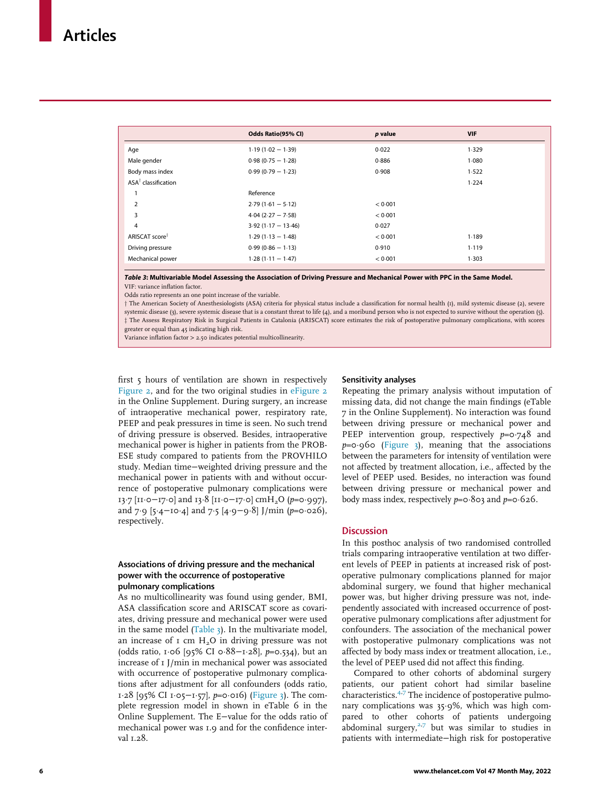<span id="page-7-0"></span>

|                                | Odds Ratio(95% CI)   | p value | <b>VIF</b> |
|--------------------------------|----------------------|---------|------------|
| Age                            | $1.19(1.02 - 1.39)$  | 0.022   | 1.329      |
| Male gender                    | $0.98(0.75 - 1.28)$  | 0.886   | 1.080      |
| Body mass index                | $0.99(0.79 - 1.23)$  | 0.908   | 1.522      |
| $ASA^{\dagger}$ classification |                      |         | 1.224      |
|                                | Reference            |         |            |
| $\overline{2}$                 | $2.79(1.61 - 5.12)$  | < 0.001 |            |
| 3                              | $4.04$ (2.27 - 7.58) | < 0.001 |            |
| 4                              | $3.92(1.17 - 13.46)$ | 0.027   |            |
| ARISCAT score <sup>‡</sup>     | $1.29(1.13 - 1.48)$  | < 0.001 | 1.189      |
| Driving pressure               | $0.99(0.86 - 1.13)$  | 0.910   | 1.119      |
| Mechanical power               | $1.28(1.11 - 1.47)$  | < 0.001 | 1.303      |

Table 3: Multivariable Model Assessing the Association of Driving Pressure and Mechanical Power with PPC in the Same Model. VIF: variance inflation factor.

Odds ratio represents an one point increase of the variable.

y The American Society of Anesthesiologists (ASA) criteria for physical status include a classification for normal health (1), mild systemic disease (2), severe systemic disease (3), severe systemic disease that is a constant threat to life (4), and a moribund person who is not expected to survive without the operation (5).  $\ddagger$  The Assess Respiratory Risk in Surgical Patients in Catalonia (ARISCAT) score estimates the risk of postoperative pulmonary complications, with scores greater or equal than 45 indicating high risk.

Variance inflation factor > 2.50 indicates potential multicollinearity.

first 5 hours of ventilation are shown in respectively [Figure 2,](#page-8-0) and for the two original studies in [eFigure 2](#page-11-10) in the Online Supplement. During surgery, an increase of intraoperative mechanical power, respiratory rate, PEEP and peak pressures in time is seen. No such trend of driving pressure is observed. Besides, intraoperative mechanical power is higher in patients from the PROB-ESE study compared to patients from the PROVHILO study. Median time−weighted driving pressure and the mechanical power in patients with and without occurrence of postoperative pulmonary complications were 13∙7 [11⋅0−17⋅0] and 13⋅8 [11⋅0−17⋅0] cmH<sub>2</sub>O (p=0⋅997), and 7⋅9 [5⋅4−10⋅4] and 7⋅5 [4⋅9−9⋅8] J/min (p=0⋅026), respectively.

#### Associations of driving pressure and the mechanical power with the occurrence of postoperative pulmonary complications

As no multicollinearity was found using gender, BMI, ASA classification score and ARISCAT score as covariates, driving pressure and mechanical power were used in the same model  $(Table_3)$ . In the multivariate model, an increase of  $I$  cm  $H<sub>2</sub>O$  in driving pressure was not (odds ratio, 1¢06 [95% CI 0¢88−1¢28], p=0.534), but an increase of 1 J/min in mechanical power was associated with occurrence of postoperative pulmonary complications after adjustment for all confounders (odds ratio, 1¢28 [95% CI 1¢05−1¢57], p=0¢016) ([Figure 3](#page-9-0)). The complete regression model in shown in eTable 6 in the Online Supplement. The E−value for the odds ratio of mechanical power was 1.9 and for the confidence interval  $1.28$ .

#### Sensitivity analyses

Repeating the primary analysis without imputation of missing data, did not change the main findings (eTable 7 in the Online Supplement). No interaction was found between driving pressure or mechanical power and PEEP intervention group, respectively  $p=0.748$  and  $p=0.960$  [\(Figure 3\)](#page-9-0), meaning that the associations between the parameters for intensity of ventilation were not affected by treatment allocation, i.e., affected by the level of PEEP used. Besides, no interaction was found between driving pressure or mechanical power and body mass index, respectively  $p=0.803$  and  $p=0.626$ .

#### **Discussion**

In this posthoc analysis of two randomised controlled trials comparing intraoperative ventilation at two different levels of PEEP in patients at increased risk of postoperative pulmonary complications planned for major abdominal surgery, we found that higher mechanical power was, but higher driving pressure was not, independently associated with increased occurrence of postoperative pulmonary complications after adjustment for confounders. The association of the mechanical power with postoperative pulmonary complications was not affected by body mass index or treatment allocation, i.e., the level of PEEP used did not affect this finding.

Compared to other cohorts of abdominal surgery patients, our patient cohort had similar baseline characteristics.[4](#page-11-1)[,7](#page-11-12) The incidence of postoperative pulmonary complications was  $35.9\%$ , which was high compared to other cohorts of patients undergoing abdominal surgery, $2.7$  $2.7$  but was similar to studies in patients with intermediate−high risk for postoperative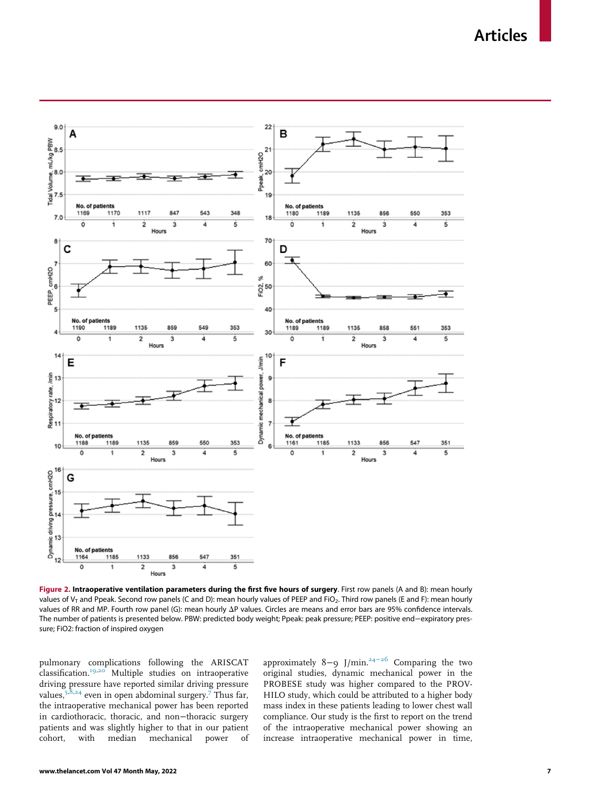Articles

<span id="page-8-0"></span>

Figure 2. Intraoperative ventilation parameters during the first five hours of surgery. First row panels (A and B): mean hourly values of  $V_T$  and Ppeak. Second row panels (C and D): mean hourly values of PEEP and FiO<sub>2</sub>. Third row panels (E and F): mean hourly values of RR and MP. Fourth row panel (G): mean hourly  $\Delta P$  values. Circles are means and error bars are 95% confidence intervals. The number of patients is presented below. PBW: predicted body weight; Ppeak: peak pressure; PEEP: positive end−expiratory pressure; FiO2: fraction of inspired oxygen

pulmonary complications following the ARISCAT classification.[19](#page-11-6),[20](#page-11-7) Multiple studies on intraoperative driving pressure have reported similar driving pressure values,  $5,8,24$  $5,8,24$  $5,8,24$  $5,8,24$  even in open abdominal surgery.<sup>[7](#page-11-12)</sup> Thus far, the intraoperative mechanical power has been reported in cardiothoracic, thoracic, and non−thoracic surgery patients and was slightly higher to that in our patient cohort, with median mechanical power of approximately 8-9 J/min.<sup>24-[26](#page-11-15)</sup> Comparing the two original studies, dynamic mechanical power in the PROBESE study was higher compared to the PROV-HILO study, which could be attributed to a higher body mass index in these patients leading to lower chest wall compliance. Our study is the first to report on the trend of the intraoperative mechanical power showing an increase intraoperative mechanical power in time,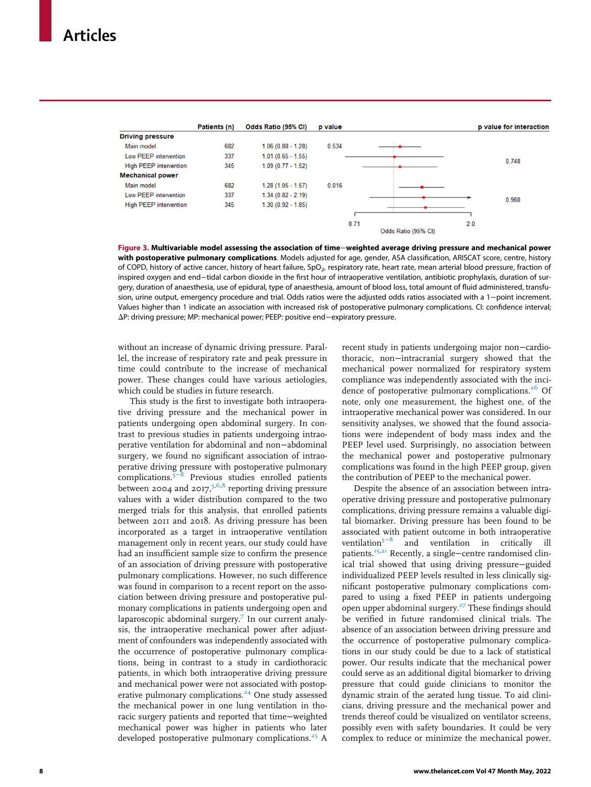<span id="page-9-0"></span>

|                               | Patients (n) | Odds Ratio (95% CI) | p value |                     |  |     | p value for interaction |
|-------------------------------|--------------|---------------------|---------|---------------------|--|-----|-------------------------|
| <b>Driving pressure</b>       |              |                     |         |                     |  |     |                         |
| Main model                    | 682          | $1.06(0.88 - 1.28)$ | 0.534   |                     |  |     |                         |
| Low PEEP intervention         | 337          | $1.01(0.65 - 1.55)$ |         |                     |  |     |                         |
| <b>High PEEP intervention</b> | 345          | $1.09(0.77 - 1.52)$ |         |                     |  |     | 0.748                   |
| <b>Mechanical power</b>       |              |                     |         |                     |  |     |                         |
| Main model                    | 682          | $1.28(1.05 - 1.57)$ | 0.016   |                     |  |     |                         |
| Low PEEP intervention         | 337          | $1.34(0.82 - 2.19)$ |         |                     |  |     |                         |
| <b>High PEEP intervention</b> | 345          | $1.30(0.92 - 1.85)$ |         |                     |  |     | 0.960                   |
|                               |              |                     |         |                     |  |     |                         |
|                               |              |                     |         | 0.71                |  | 2.0 |                         |
|                               |              |                     |         | Odds Ratio (95% CI) |  |     |                         |

Figure 3. Multivariable model assessing the association of time−weighted average driving pressure and mechanical power with postoperative pulmonary complications. Models adjusted for age, gender, ASA classification, ARISCAT score, centre, history of COPD, history of active cancer, history of heart failure, SpO<sub>2</sub>, respiratory rate, heart rate, mean arterial blood pressure, fraction of inspired oxygen and end−tidal carbon dioxide in the first hour of intraoperative ventilation, antibiotic prophylaxis, duration of surgery, duration of anaesthesia, use of epidural, type of anaesthesia, amount of blood loss, total amount of fluid administered, transfusion, urine output, emergency procedure and trial. Odds ratios were the adjusted odds ratios associated with a 1−point increment. Values higher than 1 indicate an association with increased risk of postoperative pulmonary complications. CI: confidence interval; DP: driving pressure; MP: mechanical power; PEEP: positive end−expiratory pressure.

without an increase of dynamic driving pressure. Parallel, the increase of respiratory rate and peak pressure in time could contribute to the increase of mechanical power. These changes could have various aetiologies, which could be studies in future research.

This study is the first to investigate both intraoperative driving pressure and the mechanical power in patients undergoing open abdominal surgery. In contrast to previous studies in patients undergoing intraoperative ventilation for abdominal and non−abdominal surgery, we found no significant association of intraoperative driving pressure with postoperative pulmonary complications.5[−](#page-11-2)<sup>8</sup> Previous studies enrolled patients between 2004 and 2017,<sup>5,[6,](#page-11-16)[8](#page-11-14)</sup> reporting driving pressure values with a wider distribution compared to the two merged trials for this analysis, that enrolled patients between 2011 and 2018. As driving pressure has been incorporated as a target in intraoperative ventilation management only in recent years, our study could have had an insufficient sample size to confirm the presence of an association of driving pressure with postoperative pulmonary complications. However, no such difference was found in comparison to a recent report on the association between driving pressure and postoperative pulmonary complications in patients undergoing open and laparoscopic abdominal surgery.<sup>[7](#page-11-12)</sup> In our current analysis, the intraoperative mechanical power after adjustment of confounders was independently associated with the occurrence of postoperative pulmonary complications, being in contrast to a study in cardiothoracic patients, in which both intraoperative driving pressure and mechanical power were not associated with postop-erative pulmonary complications.<sup>[24](#page-11-15)</sup> One study assessed the mechanical power in one lung ventilation in thoracic surgery patients and reported that time−weighted mechanical power was higher in patients who later developed postoperative pulmonary complications.<sup>[25](#page-11-17)</sup> A

recent study in patients undergoing major non−cardiothoracic, non−intracranial surgery showed that the mechanical power normalized for respiratory system compliance was independently associated with the inci-dence of postoperative pulmonary complications.<sup>[26](#page-11-18)</sup> Of note, only one measurement, the highest one, of the intraoperative mechanical power was considered. In our sensitivity analyses, we showed that the found associations were independent of body mass index and the PEEP level used. Surprisingly, no association between the mechanical power and postoperative pulmonary complications was found in the high PEEP group, given the contribution of PEEP to the mechanical power.

Despite the absence of an association between intraoperative driving pressure and postoperative pulmonary complications, driving pressure remains a valuable digital biomarker. Driving pressure has been found to be associated with patient outcome in both intraoperative ventilation<sup>5-8</sup> and ventilation in critically ill and ventilation in critically ill patients.<sup>[15,](#page-11-19)[21](#page-11-8)</sup> Recently, a single−centre randomised clinical trial showed that using driving pressure−guided individualized PEEP levels resulted in less clinically significant postoperative pulmonary complications compared to using a fixed PEEP in patients undergoing open upper abdominal surgery. $27$  These findings should be verified in future randomised clinical trials. The absence of an association between driving pressure and the occurrence of postoperative pulmonary complications in our study could be due to a lack of statistical power. Our results indicate that the mechanical power could serve as an additional digital biomarker to driving pressure that could guide clinicians to monitor the dynamic strain of the aerated lung tissue. To aid clinicians, driving pressure and the mechanical power and trends thereof could be visualized on ventilator screens, possibly even with safety boundaries. It could be very complex to reduce or minimize the mechanical power,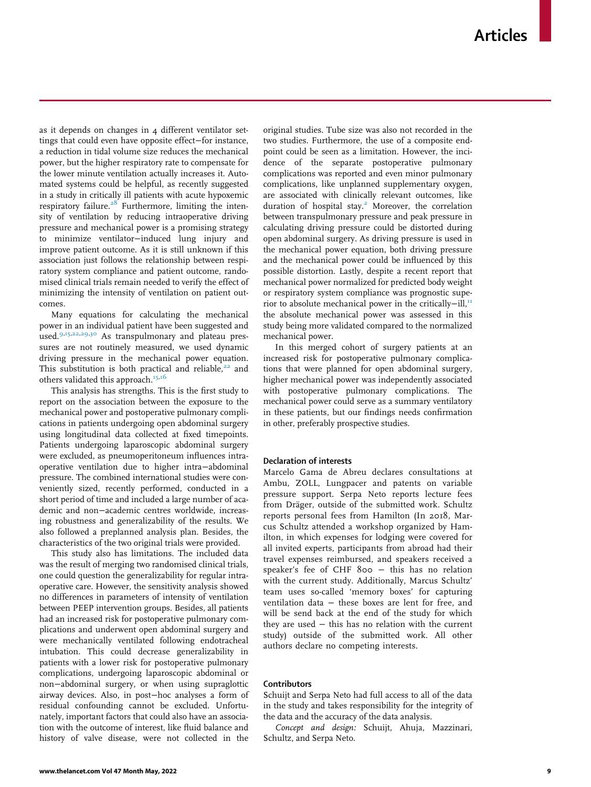as it depends on changes in 4 different ventilator settings that could even have opposite effect−for instance, a reduction in tidal volume size reduces the mechanical power, but the higher respiratory rate to compensate for the lower minute ventilation actually increases it. Automated systems could be helpful, as recently suggested in a study in critically ill patients with acute hypoxemic respiratory failure. $28$  Furthermore, limiting the intensity of ventilation by reducing intraoperative driving pressure and mechanical power is a promising strategy to minimize ventilator−induced lung injury and improve patient outcome. As it is still unknown if this association just follows the relationship between respiratory system compliance and patient outcome, randomised clinical trials remain needed to verify the effect of minimizing the intensity of ventilation on patient outcomes.

Many equations for calculating the mechanical power in an individual patient have been suggested and used.<sup>[9](#page-11-3)[,15,](#page-11-19)[22](#page-11-9)[,29](#page-12-0),[30](#page-12-1)</sup> As transpulmonary and plateau pressures are not routinely measured, we used dynamic driving pressure in the mechanical power equation. This substitution is both practical and reliable, $22$  and others validated this approach.<sup>[15,](#page-11-19)[16](#page-11-20)</sup>

This analysis has strengths. This is the first study to report on the association between the exposure to the mechanical power and postoperative pulmonary complications in patients undergoing open abdominal surgery using longitudinal data collected at fixed timepoints. Patients undergoing laparoscopic abdominal surgery were excluded, as pneumoperitoneum influences intraoperative ventilation due to higher intra−abdominal pressure. The combined international studies were conveniently sized, recently performed, conducted in a short period of time and included a large number of academic and non−academic centres worldwide, increasing robustness and generalizability of the results. We also followed a preplanned analysis plan. Besides, the characteristics of the two original trials were provided.

This study also has limitations. The included data was the result of merging two randomised clinical trials, one could question the generalizability for regular intraoperative care. However, the sensitivity analysis showed no differences in parameters of intensity of ventilation between PEEP intervention groups. Besides, all patients had an increased risk for postoperative pulmonary complications and underwent open abdominal surgery and were mechanically ventilated following endotracheal intubation. This could decrease generalizability in patients with a lower risk for postoperative pulmonary complications, undergoing laparoscopic abdominal or non−abdominal surgery, or when using supraglottic airway devices. Also, in post−hoc analyses a form of residual confounding cannot be excluded. Unfortunately, important factors that could also have an association with the outcome of interest, like fluid balance and history of valve disease, were not collected in the original studies. Tube size was also not recorded in the two studies. Furthermore, the use of a composite endpoint could be seen as a limitation. However, the incidence of the separate postoperative pulmonary complications was reported and even minor pulmonary complications, like unplanned supplementary oxygen, are associated with clinically relevant outcomes, like duration of hospital stay.<sup>[2](#page-11-13)</sup> Moreover, the correlation between transpulmonary pressure and peak pressure in calculating driving pressure could be distorted during open abdominal surgery. As driving pressure is used in the mechanical power equation, both driving pressure and the mechanical power could be influenced by this possible distortion. Lastly, despite a recent report that mechanical power normalized for predicted body weight or respiratory system compliance was prognostic superior to absolute mechanical power in the critically-ill,<sup>11</sup> the absolute mechanical power was assessed in this study being more validated compared to the normalized mechanical power.

In this merged cohort of surgery patients at an increased risk for postoperative pulmonary complications that were planned for open abdominal surgery, higher mechanical power was independently associated with postoperative pulmonary complications. The mechanical power could serve as a summary ventilatory in these patients, but our findings needs confirmation in other, preferably prospective studies.

#### Declaration of interests

Marcelo Gama de Abreu declares consultations at Ambu, ZOLL, Lungpacer and patents on variable pressure support. Serpa Neto reports lecture fees from Dräger, outside of the submitted work. Schultz reports personal fees from Hamilton (In 2018, Marcus Schultz attended a workshop organized by Hamilton, in which expenses for lodging were covered for all invited experts, participants from abroad had their travel expenses reimbursed, and speakers received a speaker's fee of CHF 800 − this has no relation with the current study. Additionally, Marcus Schultz' team uses so-called 'memory boxes' for capturing ventilation data − these boxes are lent for free, and will be send back at the end of the study for which they are used − this has no relation with the current study) outside of the submitted work. All other authors declare no competing interests.

#### Contributors

Schuijt and Serpa Neto had full access to all of the data in the study and takes responsibility for the integrity of the data and the accuracy of the data analysis.

Concept and design: Schuijt, Ahuja, Mazzinari, Schultz, and Serpa Neto.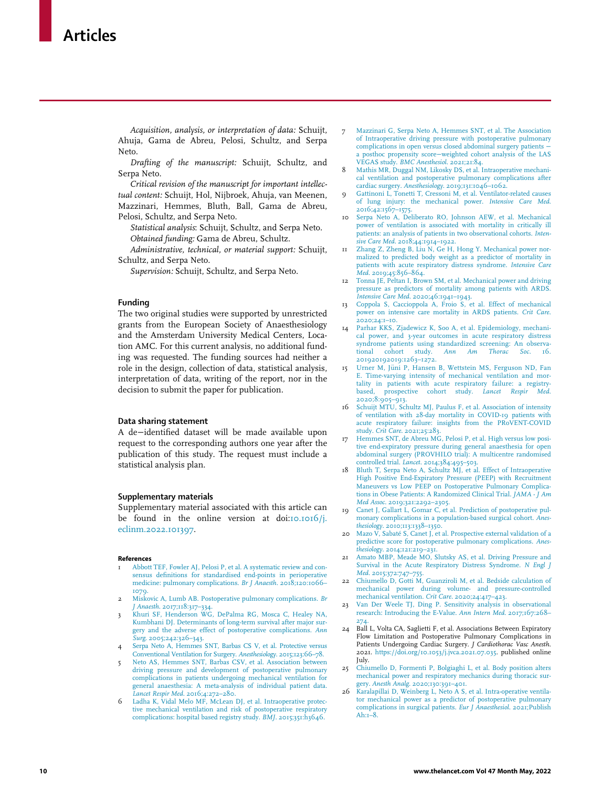<span id="page-11-12"></span>Acquisition, analysis, or interpretation of data: Schuijt, Ahuja, Gama de Abreu, Pelosi, Schultz, and Serpa Neto.

<span id="page-11-14"></span>Drafting of the manuscript: Schuijt, Schultz, and Serpa Neto.

<span id="page-11-3"></span>Critical revision of the manuscript for important intellectual content: Schuijt, Hol, Nijbroek, Ahuja, van Meenen, Mazzinari, Hemmes, Bluth, Ball, Gama de Abreu, Pelosi, Schultz, and Serpa Neto.

Statistical analysis: Schuijt, Schultz, and Serpa Neto. Obtained funding: Gama de Abreu, Schultz.

<span id="page-11-21"></span>Administrative, technical, or material support: Schuijt, Schultz, and Serpa Neto.

Supervision: Schuijt, Schultz, and Serpa Neto.

#### Funding

<span id="page-11-19"></span>The two original studies were supported by unrestricted grants from the European Society of Anaesthesiology and the Amsterdam University Medical Centers, Location AMC. For this current analysis, no additional funding was requested. The funding sources had neither a role in the design, collection of data, statistical analysis, interpretation of data, writing of the report, nor in the decision to submit the paper for publication.

#### <span id="page-11-20"></span>Data sharing statement

<span id="page-11-4"></span>A de−identified dataset will be made available upon request to the corresponding authors one year after the publication of this study. The request must include a statistical analysis plan.

#### <span id="page-11-10"></span><span id="page-11-5"></span>Supplementary materials

<span id="page-11-6"></span>Supplementary material associated with this article can be found in the online version at doi:[10.1016/j.](https://doi.org/10.1016/j.eclinm.2022.101397) [eclinm.2022.101397](https://doi.org/10.1016/j.eclinm.2022.101397).

#### <span id="page-11-8"></span><span id="page-11-7"></span><span id="page-11-0"></span>References

- <span id="page-11-9"></span>1 [Abbott TEF, Fowler AJ, Pelosi P, et al. A systematic review and con](http://refhub.elsevier.com/S2589-5370(22)00127-4/sbref0001)[sensus definitions for standardised end-points in perioperative](http://refhub.elsevier.com/S2589-5370(22)00127-4/sbref0001) [medicine: pulmonary complications.](http://refhub.elsevier.com/S2589-5370(22)00127-4/sbref0001) Br J Anaesth. 2018;120:1066– [1079.](http://refhub.elsevier.com/S2589-5370(22)00127-4/sbref0001)
- <span id="page-11-13"></span><span id="page-11-11"></span>2 [Miskovic A, Lumb AB. Postoperative pulmonary complications.](http://refhub.elsevier.com/S2589-5370(22)00127-4/sbref0002) Br J Anaesth[. 2017;118:317–334.](http://refhub.elsevier.com/S2589-5370(22)00127-4/sbref0002) 3 [Khuri SF, Henderson WG, DePalma RG, Mosca C, Healey NA,](http://refhub.elsevier.com/S2589-5370(22)00127-4/sbref0003)
- <span id="page-11-15"></span>[Kumbhani DJ. Determinants of long-term survival after major sur](http://refhub.elsevier.com/S2589-5370(22)00127-4/sbref0003)[gery and the adverse effect of postoperative complications.](http://refhub.elsevier.com/S2589-5370(22)00127-4/sbref0003) Ann Surg[. 2005;242:326–343.](http://refhub.elsevier.com/S2589-5370(22)00127-4/sbref0003)
- <span id="page-11-1"></span>4 [Serpa Neto A, Hemmes SNT, Barbas CS V, et al. Protective versus](http://refhub.elsevier.com/S2589-5370(22)00127-4/sbref0004) [Conventional Ventilation for Surgery.](http://refhub.elsevier.com/S2589-5370(22)00127-4/sbref0004) Anesthesiology. 2015;123:66–78.
- <span id="page-11-17"></span><span id="page-11-2"></span>5 [Neto AS, Hemmes SNT, Barbas CSV, et al. Association between](http://refhub.elsevier.com/S2589-5370(22)00127-4/sbref0005) [driving pressure and development of postoperative pulmonary](http://refhub.elsevier.com/S2589-5370(22)00127-4/sbref0005) [complications in patients undergoing mechanical ventilation for](http://refhub.elsevier.com/S2589-5370(22)00127-4/sbref0005) [general anaesthesia: A meta-analysis of individual patient data.](http://refhub.elsevier.com/S2589-5370(22)00127-4/sbref0005) Lancet Respir Med[. 2016;4:272–280.](http://refhub.elsevier.com/S2589-5370(22)00127-4/sbref0005)
- <span id="page-11-18"></span><span id="page-11-16"></span>6 [Ladha K, Vidal Melo MF, McLean DJ, et al. Intraoperative protec](http://refhub.elsevier.com/S2589-5370(22)00127-4/sbref0006)[tive mechanical ventilation and risk of postoperative respiratory](http://refhub.elsevier.com/S2589-5370(22)00127-4/sbref0006) [complications: hospital based registry study.](http://refhub.elsevier.com/S2589-5370(22)00127-4/sbref0006) BMJ. 2015;351:h3646.
- 7 [Mazzinari G, Serpa Neto A, Hemmes SNT, et al. The Association](http://refhub.elsevier.com/S2589-5370(22)00127-4/sbref0007) [of Intraoperative driving pressure with postoperative pulmonary](http://refhub.elsevier.com/S2589-5370(22)00127-4/sbref0007) [complications in open versus closed abdominal surgery patients](http://refhub.elsevier.com/S2589-5370(22)00127-4/sbref0007) a posthoc propensity score−[weighted cohort analysis of the LAS](http://refhub.elsevier.com/S2589-5370(22)00127-4/sbref0007) VEGAS study. [BMC Anesthesiol](http://refhub.elsevier.com/S2589-5370(22)00127-4/sbref0007). 2021;21:84.
- 8 [Mathis MR, Duggal NM, Likosky DS, et al. Intraoperative mechani](http://refhub.elsevier.com/S2589-5370(22)00127-4/sbref0008)[cal ventilation and postoperative pulmonary complications after](http://refhub.elsevier.com/S2589-5370(22)00127-4/sbref0008) cardiac surgery. Anesthesiology[. 2019;131:1046–1062.](http://refhub.elsevier.com/S2589-5370(22)00127-4/sbref0008)
- 9 [Gattinoni L, Tonetti T, Cressoni M, et al. Ventilator-related causes](http://refhub.elsevier.com/S2589-5370(22)00127-4/sbref0009) [of lung injury: the mechanical power.](http://refhub.elsevier.com/S2589-5370(22)00127-4/sbref0009) Intensive Care Med. [2016;42:1567–1575.](http://refhub.elsevier.com/S2589-5370(22)00127-4/sbref0009)
- 10 [Serpa Neto A, Deliberato RO, Johnson AEW, et al. Mechanical](http://refhub.elsevier.com/S2589-5370(22)00127-4/sbref0010) [power of ventilation is associated with mortality in critically ill](http://refhub.elsevier.com/S2589-5370(22)00127-4/sbref0010) [patients: an analysis of patients in two observational cohorts.](http://refhub.elsevier.com/S2589-5370(22)00127-4/sbref0010) Intensive Care Med[. 2018;44:1914–1922.](http://refhub.elsevier.com/S2589-5370(22)00127-4/sbref0010)
- [Zhang Z, Zheng B, Liu N, Ge H, Hong Y. Mechanical power nor](http://refhub.elsevier.com/S2589-5370(22)00127-4/sbref0011)[malized to predicted body weight as a predictor of mortality in](http://refhub.elsevier.com/S2589-5370(22)00127-4/sbref0011) [patients with acute respiratory distress syndrome.](http://refhub.elsevier.com/S2589-5370(22)00127-4/sbref0011) Intensive Care .<br>Med[. 2019;45:856–864.](http://refhub.elsevier.com/S2589-5370(22)00127-4/sbref0011)
- 12 [Tonna JE, Peltan I, Brown SM, et al. Mechanical power and driving](http://refhub.elsevier.com/S2589-5370(22)00127-4/sbref0012) [pressure as predictors of mortality among patients with ARDS.](http://refhub.elsevier.com/S2589-5370(22)00127-4/sbref0012) Intensive Care Med[. 2020;46:1941–1943.](http://refhub.elsevier.com/S2589-5370(22)00127-4/sbref0012) 13 [Coppola S, Caccioppola A, Froio S, et al. Effect of mechanical](http://refhub.elsevier.com/S2589-5370(22)00127-4/sbref0013)
- [power on intensive care mortality in ARDS patients.](http://refhub.elsevier.com/S2589-5370(22)00127-4/sbref0013) Crit Care. [2020;24:1–10.](http://refhub.elsevier.com/S2589-5370(22)00127-4/sbref0013)
- 14 [Parhar KKS, Zjadewicz K, Soo A, et al. Epidemiology, mechani](http://refhub.elsevier.com/S2589-5370(22)00127-4/sbref0014)[cal power, and 3-year outcomes in acute respiratory distress](http://refhub.elsevier.com/S2589-5370(22)00127-4/sbref0014) [syndrome patients using standardized screening: An observa](http://refhub.elsevier.com/S2589-5370(22)00127-4/sbref0014)tional cohort study. [Ann Am Thorac Soc](http://refhub.elsevier.com/S2589-5370(22)00127-4/sbref0014). 16. [201920192019:1263–1272.](http://refhub.elsevier.com/S2589-5370(22)00127-4/sbref0014)
- 15 Urner M, Jüni P, Hansen B, Wettstein MS, Ferguson ND, Fan [E. Time-varying intensity of mechanical ventilation and mor](http://refhub.elsevier.com/S2589-5370(22)00127-4/sbref0015)[tality in patients with acute respiratory failure: a registry](http://refhub.elsevier.com/S2589-5370(22)00127-4/sbref0015)[based, prospective cohort study.](http://refhub.elsevier.com/S2589-5370(22)00127-4/sbref0015) Lancet Respir Med. [2020;8:905–913.](http://refhub.elsevier.com/S2589-5370(22)00127-4/sbref0015)
- 16 [Schuijt MTU, Schultz MJ, Paulus F, et al. Association of intensity](http://refhub.elsevier.com/S2589-5370(22)00127-4/sbref0016) [of ventilation with 28-day mortality in COVID-19 patients with](http://refhub.elsevier.com/S2589-5370(22)00127-4/sbref0016) [acute respiratory failure: insights from the PRoVENT-COVID](http://refhub.elsevier.com/S2589-5370(22)00127-4/sbref0016) study. Crit Care[. 2021;25:283.](http://refhub.elsevier.com/S2589-5370(22)00127-4/sbref0016)
- 17 [Hemmes SNT, de Abreu MG, Pelosi P, et al. High versus low posi](http://refhub.elsevier.com/S2589-5370(22)00127-4/sbref0017)[tive end-expiratory pressure during general anaesthesia for open](http://refhub.elsevier.com/S2589-5370(22)00127-4/sbref0017) [abdominal surgery \(PROVHILO trial\): A multicentre randomised](http://refhub.elsevier.com/S2589-5370(22)00127-4/sbref0017) controlled trial. Lancet[. 2014;384:495–503.](http://refhub.elsevier.com/S2589-5370(22)00127-4/sbref0017)
- 18 [Bluth T, Serpa Neto A, Schultz MJ, et al. Effect of Intraoperative](http://refhub.elsevier.com/S2589-5370(22)00127-4/sbref0018) [High Positive End-Expiratory Pressure \(PEEP\) with Recruitment](http://refhub.elsevier.com/S2589-5370(22)00127-4/sbref0018) [Maneuvers vs Low PEEP on Postoperative Pulmonary Complica](http://refhub.elsevier.com/S2589-5370(22)00127-4/sbref0018)[tions in Obese Patients: A Randomized Clinical Trial.](http://refhub.elsevier.com/S2589-5370(22)00127-4/sbref0018) JAMA - J Am
- Med Assoc[. 2019;321:2292–2305.](http://refhub.elsevier.com/S2589-5370(22)00127-4/sbref0018) 19 [Canet J, Gallart L, Gomar C, et al. Prediction of postoperative pul](http://refhub.elsevier.com/S2589-5370(22)00127-4/sbref0019)[monary complications in a population-based surgical cohort.](http://refhub.elsevier.com/S2589-5370(22)00127-4/sbref0019) Anesthesiology[. 2010;113:1338–1350.](http://refhub.elsevier.com/S2589-5370(22)00127-4/sbref0019) 20 [Mazo V, Sabat](http://refhub.elsevier.com/S2589-5370(22)00127-4/sbref0020)e [S, Canet J, et al. Prospective external validation of a](http://refhub.elsevier.com/S2589-5370(22)00127-4/sbref0020)
- [predictive score for postoperative pulmonary complications.](http://refhub.elsevier.com/S2589-5370(22)00127-4/sbref0020) Anesthesiology[. 2014;121:219–231.](http://refhub.elsevier.com/S2589-5370(22)00127-4/sbref0020)
- 21 [Amato MBP, Meade MO, Slutsky AS, et al. Driving Pressure and](http://refhub.elsevier.com/S2589-5370(22)00127-4/sbref0021) [Survival in the Acute Respiratory Distress Syndrome.](http://refhub.elsevier.com/S2589-5370(22)00127-4/sbref0021) N Engl J Med. 2015;372:747-755
- 22 [Chiumello D, Gotti M, Guanziroli M, et al. Bedside calculation of](http://refhub.elsevier.com/S2589-5370(22)00127-4/sbref0022) [mechanical power during volume- and pressure-controlled](http://refhub.elsevier.com/S2589-5370(22)00127-4/sbref0022) [mechanical ventilation.](http://refhub.elsevier.com/S2589-5370(22)00127-4/sbref0022) Crit Care. 2020;24:417–423.
- 23 [Van Der Weele TJ, Ding P. Sensitivity analysis in observational](http://refhub.elsevier.com/S2589-5370(22)00127-4/sbref0023) [research: Introducing the E-Value.](http://refhub.elsevier.com/S2589-5370(22)00127-4/sbref0023) Ann Intern Med. 2017;167:268– [274.](http://refhub.elsevier.com/S2589-5370(22)00127-4/sbref0023)
- 24 Ball L, Volta CA, Saglietti F, et al. Associations Between Expiratory Flow Limitation and Postoperative Pulmonary Complications in Patients Undergoing Cardiac Surgery. J Cardiothorac Vasc Anesth. 2021. <https://doi.org/10.1053/j.jvca.2021.07.035>. published online July.
- 25 [Chiumello D, Formenti P, Bolgiaghi L, et al. Body position alters](http://refhub.elsevier.com/S2589-5370(22)00127-4/sbref0025) [mechanical power and respiratory mechanics during thoracic sur](http://refhub.elsevier.com/S2589-5370(22)00127-4/sbref0025)gery. Anesth Analg[. 2020;130:391–401.](http://refhub.elsevier.com/S2589-5370(22)00127-4/sbref0025)
- 26 [Karalapillai D, Weinberg L, Neto A S, et al. Intra-operative ventila](http://refhub.elsevier.com/S2589-5370(22)00127-4/sbref0026)[tor mechanical power as a predictor of postoperative pulmonary](http://refhub.elsevier.com/S2589-5370(22)00127-4/sbref0026) [complications in surgical patients.](http://refhub.elsevier.com/S2589-5370(22)00127-4/sbref0026) Eur J Anaesthesiol. 2021;Publish [Ah:1–8.](http://refhub.elsevier.com/S2589-5370(22)00127-4/sbref0026)